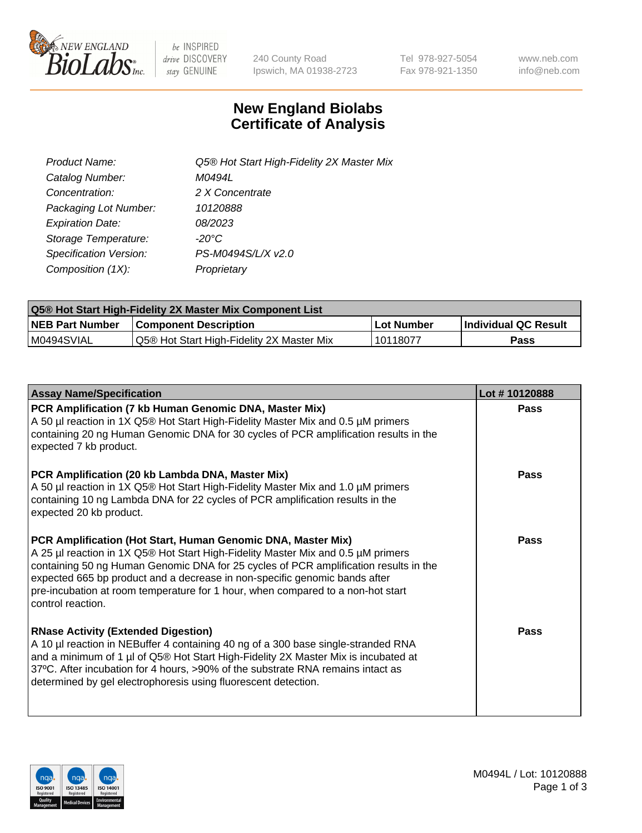

be INSPIRED drive DISCOVERY stay GENUINE

240 County Road Ipswich, MA 01938-2723 Tel 978-927-5054 Fax 978-921-1350 www.neb.com info@neb.com

## **New England Biolabs Certificate of Analysis**

| Product Name:           | Q5® Hot Start High-Fidelity 2X Master Mix |
|-------------------------|-------------------------------------------|
| Catalog Number:         | M0494L                                    |
| Concentration:          | 2 X Concentrate                           |
| Packaging Lot Number:   | 10120888                                  |
| <b>Expiration Date:</b> | 08/2023                                   |
| Storage Temperature:    | $-20^{\circ}$ C                           |
| Specification Version:  | PS-M0494S/L/X v2.0                        |
| Composition (1X):       | Proprietary                               |

| <b>Q5® Hot Start High-Fidelity 2X Master Mix Component List</b> |                                           |             |                      |  |  |
|-----------------------------------------------------------------|-------------------------------------------|-------------|----------------------|--|--|
| <b>NEB Part Number</b>                                          | <b>Component Description</b>              | ∣Lot Number | Individual QC Result |  |  |
| M0494SVIAL                                                      | Q5® Hot Start High-Fidelity 2X Master Mix | 10118077    | Pass                 |  |  |

| <b>Assay Name/Specification</b>                                                                                                                                                                                                                                                                                                                                                                                                | Lot #10120888 |
|--------------------------------------------------------------------------------------------------------------------------------------------------------------------------------------------------------------------------------------------------------------------------------------------------------------------------------------------------------------------------------------------------------------------------------|---------------|
| PCR Amplification (7 kb Human Genomic DNA, Master Mix)<br>A 50 µl reaction in 1X Q5® Hot Start High-Fidelity Master Mix and 0.5 µM primers<br>containing 20 ng Human Genomic DNA for 30 cycles of PCR amplification results in the<br>expected 7 kb product.                                                                                                                                                                   | Pass          |
| PCR Amplification (20 kb Lambda DNA, Master Mix)<br>A 50 µl reaction in 1X Q5® Hot Start High-Fidelity Master Mix and 1.0 µM primers<br>containing 10 ng Lambda DNA for 22 cycles of PCR amplification results in the<br>expected 20 kb product.                                                                                                                                                                               | Pass          |
| PCR Amplification (Hot Start, Human Genomic DNA, Master Mix)<br>A 25 µl reaction in 1X Q5® Hot Start High-Fidelity Master Mix and 0.5 µM primers<br>containing 50 ng Human Genomic DNA for 25 cycles of PCR amplification results in the<br>expected 665 bp product and a decrease in non-specific genomic bands after<br>pre-incubation at room temperature for 1 hour, when compared to a non-hot start<br>control reaction. | Pass          |
| <b>RNase Activity (Extended Digestion)</b><br>A 10 µl reaction in NEBuffer 4 containing 40 ng of a 300 base single-stranded RNA<br>and a minimum of 1 µl of Q5® Hot Start High-Fidelity 2X Master Mix is incubated at<br>37°C. After incubation for 4 hours, >90% of the substrate RNA remains intact as<br>determined by gel electrophoresis using fluorescent detection.                                                     | Pass          |

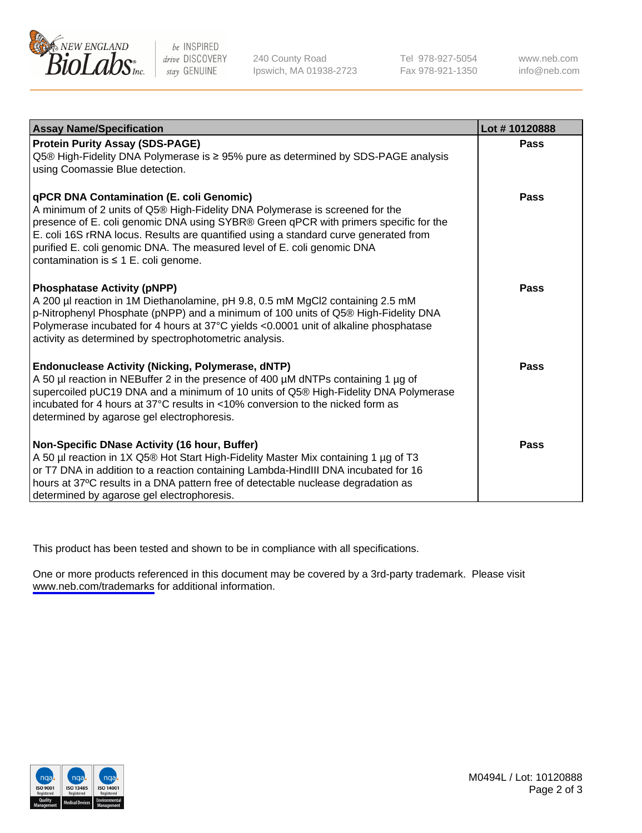

be INSPIRED drive DISCOVERY stay GENUINE

240 County Road Ipswich, MA 01938-2723 Tel 978-927-5054 Fax 978-921-1350

www.neb.com info@neb.com

| <b>Assay Name/Specification</b>                                                                                                                                                                                                                                                                                                                                                                                                  | Lot #10120888 |
|----------------------------------------------------------------------------------------------------------------------------------------------------------------------------------------------------------------------------------------------------------------------------------------------------------------------------------------------------------------------------------------------------------------------------------|---------------|
| <b>Protein Purity Assay (SDS-PAGE)</b><br>Q5® High-Fidelity DNA Polymerase is ≥ 95% pure as determined by SDS-PAGE analysis<br>using Coomassie Blue detection.                                                                                                                                                                                                                                                                   | Pass          |
| qPCR DNA Contamination (E. coli Genomic)<br>A minimum of 2 units of Q5® High-Fidelity DNA Polymerase is screened for the<br>presence of E. coli genomic DNA using SYBR® Green qPCR with primers specific for the<br>E. coli 16S rRNA locus. Results are quantified using a standard curve generated from<br>purified E. coli genomic DNA. The measured level of E. coli genomic DNA<br>contamination is $\leq 1$ E. coli genome. | Pass          |
| <b>Phosphatase Activity (pNPP)</b><br>A 200 µl reaction in 1M Diethanolamine, pH 9.8, 0.5 mM MgCl2 containing 2.5 mM<br>p-Nitrophenyl Phosphate (pNPP) and a minimum of 100 units of Q5® High-Fidelity DNA<br>Polymerase incubated for 4 hours at 37°C yields <0.0001 unit of alkaline phosphatase<br>activity as determined by spectrophotometric analysis.                                                                     | <b>Pass</b>   |
| <b>Endonuclease Activity (Nicking, Polymerase, dNTP)</b><br>A 50 µl reaction in NEBuffer 2 in the presence of 400 µM dNTPs containing 1 µg of<br>supercoiled pUC19 DNA and a minimum of 10 units of Q5® High-Fidelity DNA Polymerase<br>incubated for 4 hours at $37^{\circ}$ C results in <10% conversion to the nicked form as<br>determined by agarose gel electrophoresis.                                                   | Pass          |
| Non-Specific DNase Activity (16 hour, Buffer)<br>A 50 µl reaction in 1X Q5® Hot Start High-Fidelity Master Mix containing 1 µg of T3<br>or T7 DNA in addition to a reaction containing Lambda-HindIII DNA incubated for 16<br>hours at 37°C results in a DNA pattern free of detectable nuclease degradation as<br>determined by agarose gel electrophoresis.                                                                    | Pass          |

This product has been tested and shown to be in compliance with all specifications.

One or more products referenced in this document may be covered by a 3rd-party trademark. Please visit <www.neb.com/trademarks>for additional information.